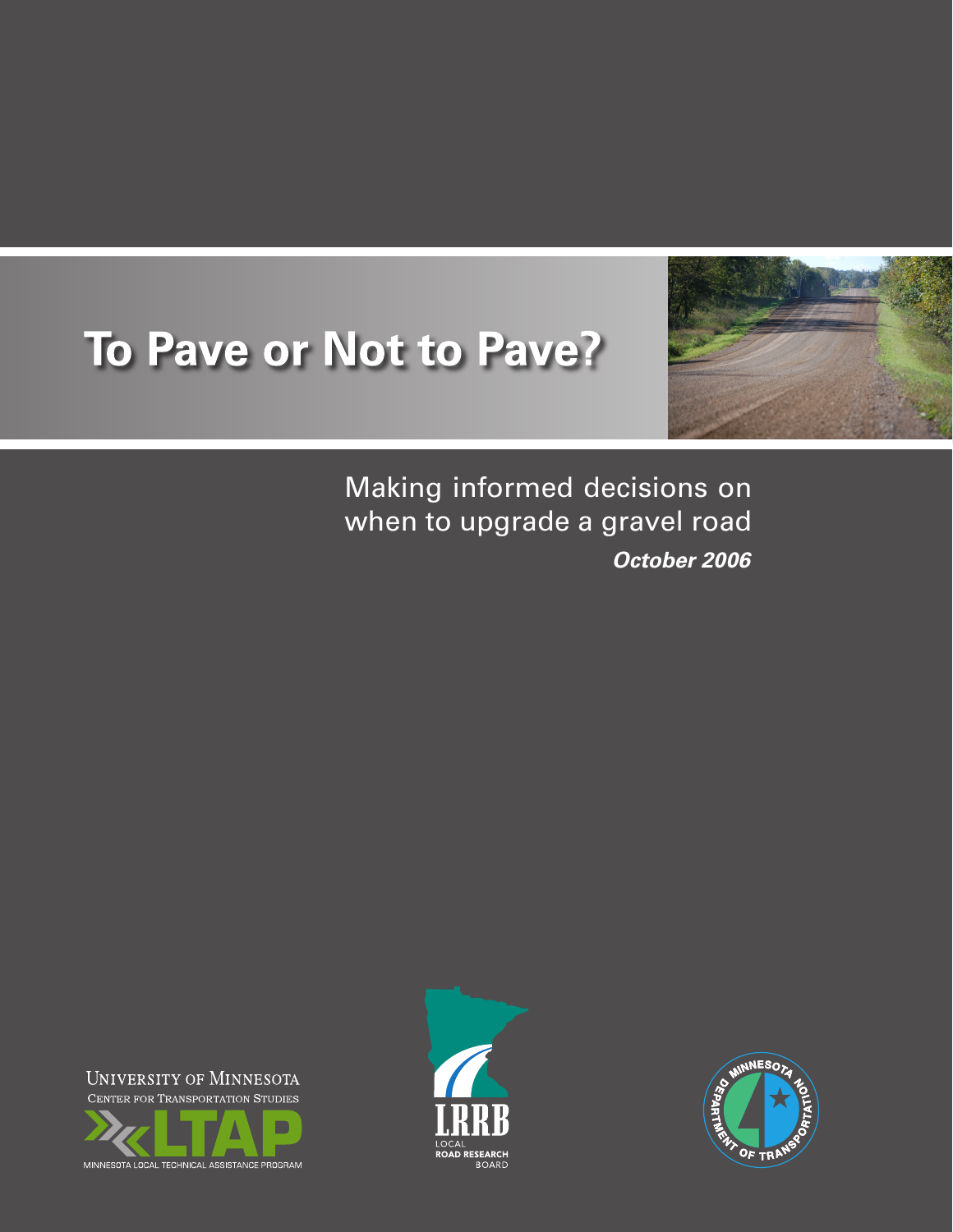# To Pave or Not to Pave?



Making informed decisions on when to upgrade a gravel road *October 2006*

UNIVERSITY OF MINNESOTA CENTER FOR TRANSPORTATION STUDIES





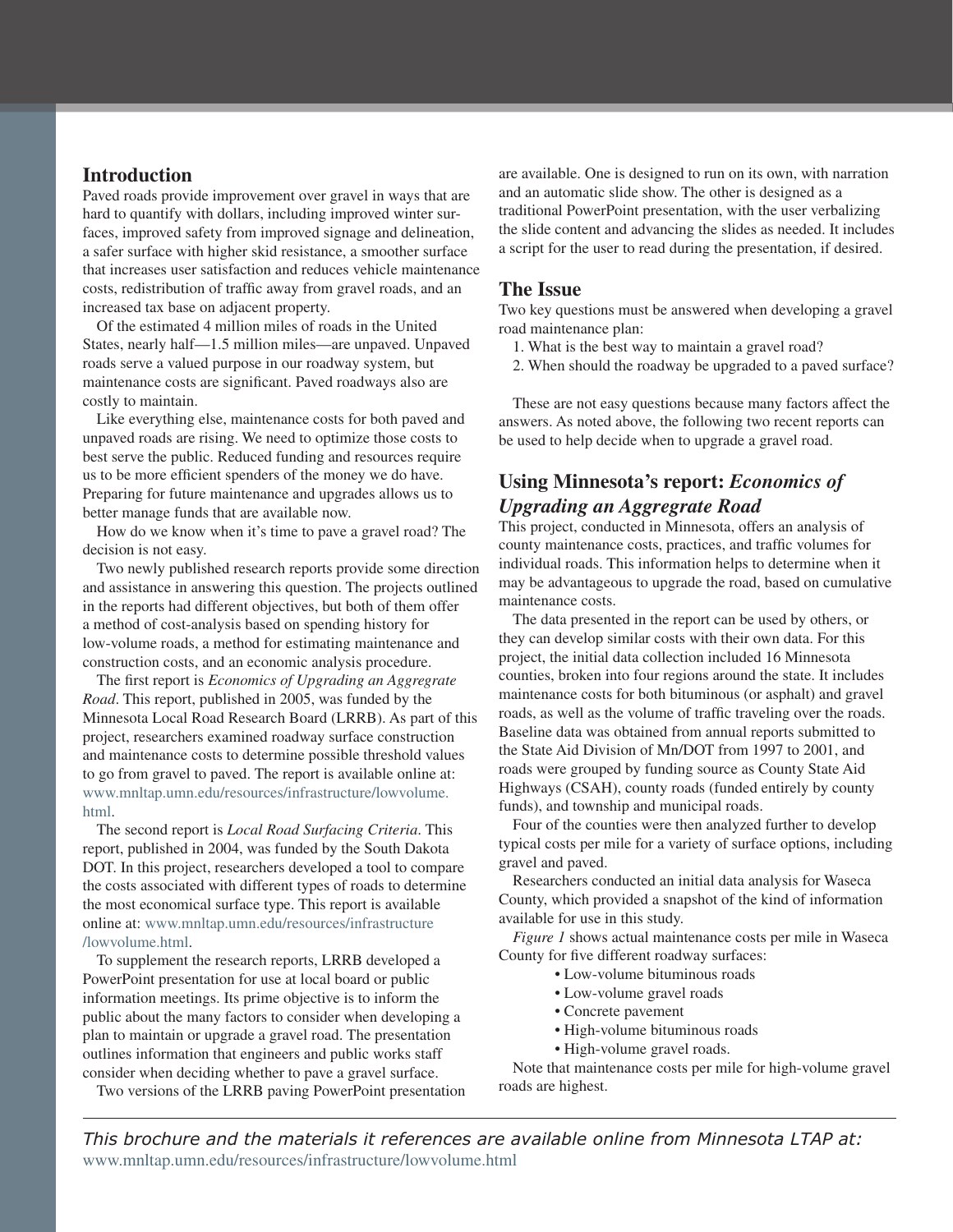## **Introduction**

Paved roads provide improvement over gravel in ways that are hard to quantify with dollars, including improved winter surfaces, improved safety from improved signage and delineation, a safer surface with higher skid resistance, a smoother surface that increases user satisfaction and reduces vehicle maintenance costs, redistribution of traffic away from gravel roads, and an increased tax base on adjacent property.

Of the estimated 4 million miles of roads in the United States, nearly half—1.5 million miles—are unpaved. Unpaved roads serve a valued purpose in our roadway system, but maintenance costs are significant. Paved roadways also are costly to maintain.

Like everything else, maintenance costs for both paved and unpaved roads are rising. We need to optimize those costs to best serve the public. Reduced funding and resources require us to be more efficient spenders of the money we do have. Preparing for future maintenance and upgrades allows us to better manage funds that are available now.

How do we know when it's time to pave a gravel road? The decision is not easy.

Two newly published research reports provide some direction and assistance in answering this question. The projects outlined in the reports had different objectives, but both of them offer a method of cost-analysis based on spending history for low-volume roads, a method for estimating maintenance and construction costs, and an economic analysis procedure.

The first report is *Economics of Upgrading an Aggregrate Road*. This report, published in 2005, was funded by the Minnesota Local Road Research Board (LRRB). As part of this project, researchers examined roadway surface construction and maintenance costs to determine possible threshold values to go from gravel to paved. The report is available online at: www.mnltap.umn.edu/resources/infrastructure/lowvolume. html.

The second report is *Local Road Surfacing Criteria*. This report, published in 2004, was funded by the South Dakota DOT. In this project, researchers developed a tool to compare the costs associated with different types of roads to determine the most economical surface type. This report is available online at: www.mnltap.umn.edu/resources/infrastructure /lowvolume.html.

To supplement the research reports, LRRB developed a PowerPoint presentation for use at local board or public information meetings. Its prime objective is to inform the public about the many factors to consider when developing a plan to maintain or upgrade a gravel road. The presentation outlines information that engineers and public works staff consider when deciding whether to pave a gravel surface.

Two versions of the LRRB paving PowerPoint presentation

are available. One is designed to run on its own, with narration and an automatic slide show. The other is designed as a traditional PowerPoint presentation, with the user verbalizing the slide content and advancing the slides as needed. It includes a script for the user to read during the presentation, if desired.

## **The Issue**

Two key questions must be answered when developing a gravel road maintenance plan:

- 1. What is the best way to maintain a gravel road?
- 2. When should the roadway be upgraded to a paved surface?

These are not easy questions because many factors affect the answers. As noted above, the following two recent reports can be used to help decide when to upgrade a gravel road.

# **Using Minnesota's report:** *Economics of Upgrading an Aggregrate Road*

This project, conducted in Minnesota, offers an analysis of county maintenance costs, practices, and traffic volumes for individual roads. This information helps to determine when it may be advantageous to upgrade the road, based on cumulative maintenance costs.

The data presented in the report can be used by others, or they can develop similar costs with their own data. For this project, the initial data collection included 16 Minnesota counties, broken into four regions around the state. It includes maintenance costs for both bituminous (or asphalt) and gravel roads, as well as the volume of traffic traveling over the roads. Baseline data was obtained from annual reports submitted to the State Aid Division of Mn/DOT from 1997 to 2001, and roads were grouped by funding source as County State Aid Highways (CSAH), county roads (funded entirely by county funds), and township and municipal roads.

Four of the counties were then analyzed further to develop typical costs per mile for a variety of surface options, including gravel and paved.

Researchers conducted an initial data analysis for Waseca County, which provided a snapshot of the kind of information available for use in this study.

*Figure 1* shows actual maintenance costs per mile in Waseca County for five different roadway surfaces:

- Low-volume bituminous roads
- Low-volume gravel roads
- Concrete pavement
- High-volume bituminous roads
- High-volume gravel roads.

Note that maintenance costs per mile for high-volume gravel roads are highest.

*This brochure and the materials it references are available online from Minnesota LTAP at:* www.mnltap.umn.edu/resources/infrastructure/lowvolume.html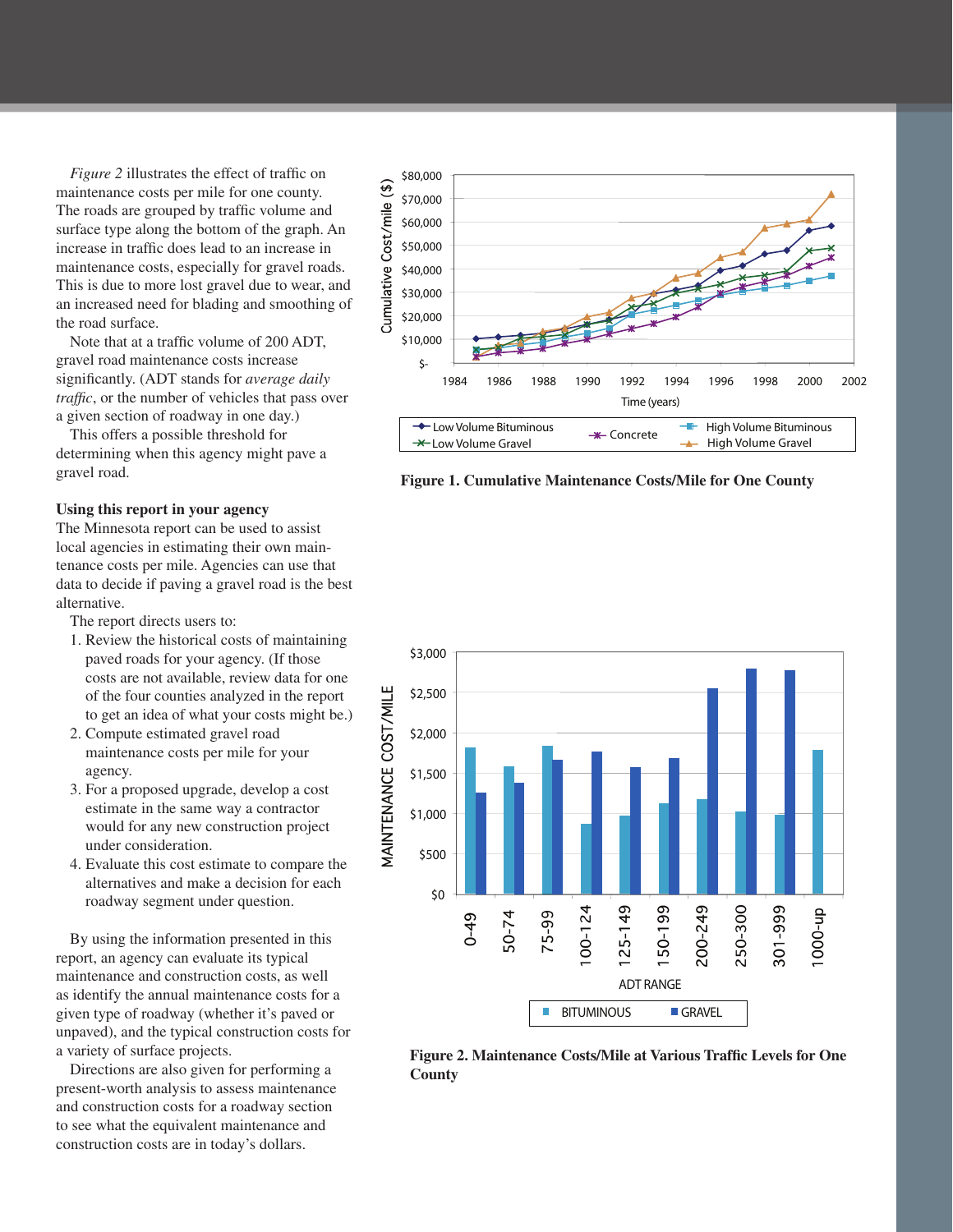*Figure 2* illustrates the effect of traffic on maintenance costs per mile for one county. The roads are grouped by traffic volume and surface type along the bottom of the graph. An increase in traffic does lead to an increase in maintenance costs, especially for gravel roads. This is due to more lost gravel due to wear, and an increased need for blading and smoothing of the road surface.

Note that at a traffic volume of 200 ADT, gravel road maintenance costs increase significantly. (ADT stands for *average daily traffic*, or the number of vehicles that pass over a given section of roadway in one day.)

This offers a possible threshold for determining when this agency might pave a gravel road.

#### **Using this report in your agency**

The Minnesota report can be used to assist local agencies in estimating their own maintenance costs per mile. Agencies can use that data to decide if paving a gravel road is the best alternative.

The report directs users to:

- 1. Review the historical costs of maintaining paved roads for your agency. (If those costs are not available, review data for one of the four counties analyzed in the report to get an idea of what your costs might be.)
- 2. Compute estimated gravel road maintenance costs per mile for your agency.
- 3. For a proposed upgrade, develop a cost estimate in the same way a contractor would for any new construction project under consideration.
- 4. Evaluate this cost estimate to compare the alternatives and make a decision for each roadway segment under question.

By using the information presented in this report, an agency can evaluate its typical maintenance and construction costs, as well as identify the annual maintenance costs for a given type of roadway (whether it's paved or unpaved), and the typical construction costs for a variety of surface projects.

Directions are also given for performing a present-worth analysis to assess maintenance and construction costs for a roadway section to see what the equivalent maintenance and construction costs are in today's dollars.



**Figure 1. Cumulative Maintenance Costs/Mile for One County** 



**Figure 2. Maintenance Costs/Mile at Various Traffic Levels for One County**